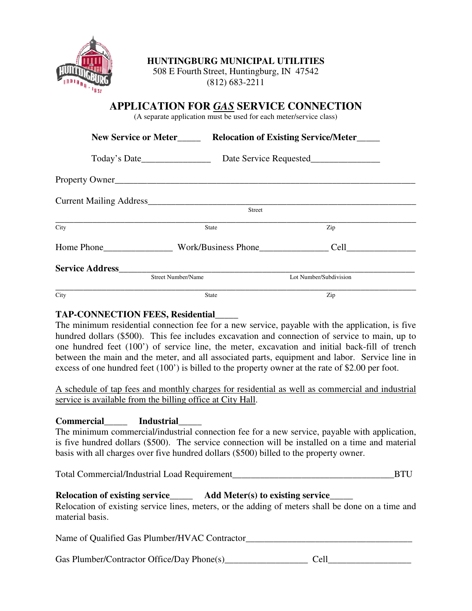

#### **HUNTINGBURG MUNICIPAL UTILITIES**

508 E Fourth Street, Huntingburg, IN 47542 (812) 683-2211

## **APPLICATION FOR** *GAS* **SERVICE CONNECTION**

(A separate application must be used for each meter/service class)

|                                                                                   | <b>New Service or Meter</b> | <b>Relocation of Existing Service/Meter</b> |
|-----------------------------------------------------------------------------------|-----------------------------|---------------------------------------------|
| Today's Date                                                                      |                             |                                             |
| Property Owner<br>Current Mailing Address<br><b>Street</b><br>Zip<br><b>State</b> |                             |                                             |
|                                                                                   |                             |                                             |
|                                                                                   |                             |                                             |
| City                                                                              |                             |                                             |
|                                                                                   |                             | Home Phone Work/Business Phone              |
| <b>Service Address</b>                                                            |                             |                                             |
|                                                                                   | <b>Street Number/Name</b>   | Lot Number/Subdivision                      |
| City                                                                              | <b>State</b>                | Zip                                         |

#### **TAP-CONNECTION FEES, Residential**\_\_\_\_\_

The minimum residential connection fee for a new service, payable with the application, is five hundred dollars (\$500). This fee includes excavation and connection of service to main, up to one hundred feet (100') of service line, the meter, excavation and initial back-fill of trench between the main and the meter, and all associated parts, equipment and labor. Service line in excess of one hundred feet (100') is billed to the property owner at the rate of \$2.00 per foot.

A schedule of tap fees and monthly charges for residential as well as commercial and industrial service is available from the billing office at City Hall.

### **Commercial**\_\_\_\_\_ **Industrial**\_\_\_\_\_

The minimum commercial/industrial connection fee for a new service, payable with application, is five hundred dollars (\$500). The service connection will be installed on a time and material basis with all charges over five hundred dollars (\$500) billed to the property owner.

Total Commercial/Industrial Load Requirement\_\_\_\_\_\_\_\_\_\_\_\_\_\_\_\_\_\_\_\_\_\_\_\_\_\_\_\_\_\_\_\_\_\_\_BTU

# **Relocation of existing service**\_\_\_\_\_ **Add Meter(s) to existing service**\_\_\_\_\_

Relocation of existing service lines, meters, or the adding of meters shall be done on a time and material basis.

Name of Qualified Gas Plumber/HVAC Contractor\_\_\_\_\_\_\_\_\_\_\_\_\_\_\_\_\_\_\_\_\_\_\_\_\_\_\_\_\_\_\_\_\_\_\_

Gas Plumber/Contractor Office/Day Phone(s)\_\_\_\_\_\_\_\_\_\_\_\_\_\_\_\_\_\_ Cell\_\_\_\_\_\_\_\_\_\_\_\_\_\_\_\_\_\_